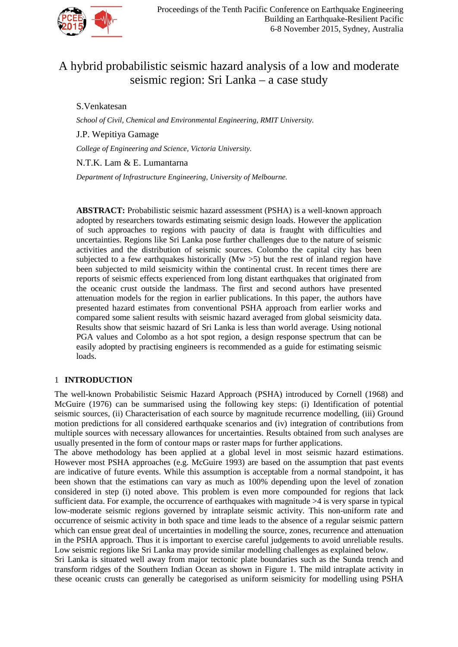

# A hybrid probabilistic seismic hazard analysis of a low and moderate seismic region: Sri Lanka – a case study

S.Venkatesan

*School of Civil, Chemical and Environmental Engineering, RMIT University.*

J.P. Wepitiya Gamage

*College of Engineering and Science, Victoria University.*

N.T.K. Lam & E. Lumantarna

*Department of Infrastructure Engineering, University of Melbourne.*

**ABSTRACT:** Probabilistic seismic hazard assessment (PSHA) is a well-known approach adopted by researchers towards estimating seismic design loads. However the application of such approaches to regions with paucity of data is fraught with difficulties and uncertainties. Regions like Sri Lanka pose further challenges due to the nature of seismic activities and the distribution of seismic sources. Colombo the capital city has been subjected to a few earthquakes historically  $(Mw > 5)$  but the rest of inland region have been subjected to mild seismicity within the continental crust. In recent times there are reports of seismic effects experienced from long distant earthquakes that originated from the oceanic crust outside the landmass. The first and second authors have presented attenuation models for the region in earlier publications. In this paper, the authors have presented hazard estimates from conventional PSHA approach from earlier works and compared some salient results with seismic hazard averaged from global seismicity data. Results show that seismic hazard of Sri Lanka is less than world average. Using notional PGA values and Colombo as a hot spot region, a design response spectrum that can be easily adopted by practising engineers is recommended as a guide for estimating seismic loads.

# 1 **INTRODUCTION**

The well-known Probabilistic Seismic Hazard Approach (PSHA) introduced by Cornell (1968) and McGuire (1976) can be summarised using the following key steps: (i) Identification of potential seismic sources, (ii) Characterisation of each source by magnitude recurrence modelling, (iii) Ground motion predictions for all considered earthquake scenarios and (iv) integration of contributions from multiple sources with necessary allowances for uncertainties. Results obtained from such analyses are usually presented in the form of contour maps or raster maps for further applications.

The above methodology has been applied at a global level in most seismic hazard estimations. However most PSHA approaches (e.g. McGuire 1993) are based on the assumption that past events are indicative of future events. While this assumption is acceptable from a normal standpoint, it has been shown that the estimations can vary as much as 100% depending upon the level of zonation considered in step (i) noted above. This problem is even more compounded for regions that lack sufficient data. For example, the occurrence of earthquakes with magnitude >4 is very sparse in typical low-moderate seismic regions governed by intraplate seismic activity. This non-uniform rate and occurrence of seismic activity in both space and time leads to the absence of a regular seismic pattern which can ensue great deal of uncertainties in modelling the source, zones, recurrence and attenuation in the PSHA approach. Thus it is important to exercise careful judgements to avoid unreliable results. Low seismic regions like Sri Lanka may provide similar modelling challenges as explained below.

Sri Lanka is situated well away from major tectonic plate boundaries such as the Sunda trench and transform ridges of the Southern Indian Ocean as shown in Figure 1. The mild intraplate activity in these oceanic crusts can generally be categorised as uniform seismicity for modelling using PSHA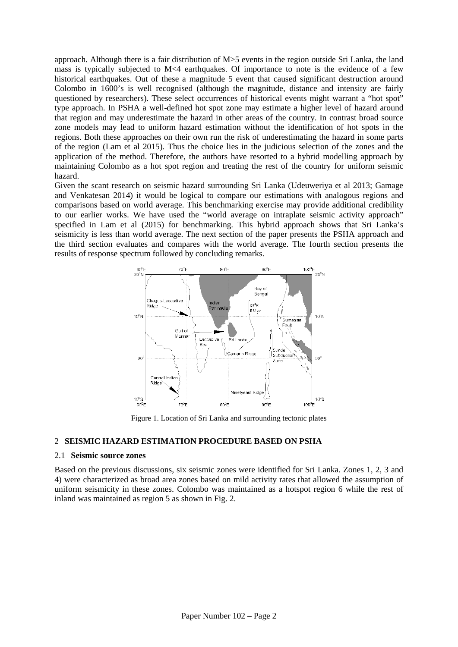approach. Although there is a fair distribution of M>5 events in the region outside Sri Lanka, the land mass is typically subjected to M<4 earthquakes. Of importance to note is the evidence of a few historical earthquakes. Out of these a magnitude 5 event that caused significant destruction around Colombo in 1600's is well recognised (although the magnitude, distance and intensity are fairly questioned by researchers). These select occurrences of historical events might warrant a "hot spot" type approach. In PSHA a well-defined hot spot zone may estimate a higher level of hazard around that region and may underestimate the hazard in other areas of the country. In contrast broad source zone models may lead to uniform hazard estimation without the identification of hot spots in the regions. Both these approaches on their own run the risk of underestimating the hazard in some parts of the region (Lam et al 2015). Thus the choice lies in the judicious selection of the zones and the application of the method. Therefore, the authors have resorted to a hybrid modelling approach by maintaining Colombo as a hot spot region and treating the rest of the country for uniform seismic hazard.

Given the scant research on seismic hazard surrounding Sri Lanka (Udeuweriya et al 2013; Gamage and Venkatesan 2014) it would be logical to compare our estimations with analogous regions and comparisons based on world average. This benchmarking exercise may provide additional credibility to our earlier works. We have used the "world average on intraplate seismic activity approach" specified in Lam et al (2015) for benchmarking. This hybrid approach shows that Sri Lanka's seismicity is less than world average. The next section of the paper presents the PSHA approach and the third section evaluates and compares with the world average. The fourth section presents the results of response spectrum followed by concluding remarks.



Figure 1. Location of Sri Lanka and surrounding tectonic plates

#### 2 **SEISMIC HAZARD ESTIMATION PROCEDURE BASED ON PSHA**

## 2.1 **Seismic source zones**

Based on the previous discussions, six seismic zones were identified for Sri Lanka. Zones 1, 2, 3 and 4) were characterized as broad area zones based on mild activity rates that allowed the assumption of uniform seismicity in these zones. Colombo was maintained as a hotspot region 6 while the rest of inland was maintained as region 5 as shown in Fig. 2.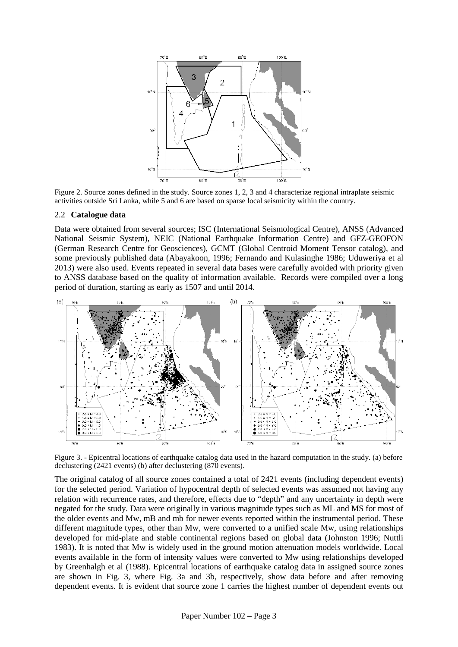

Figure 2. Source zones defined in the study. Source zones 1, 2, 3 and 4 characterize regional intraplate seismic activities outside Sri Lanka, while 5 and 6 are based on sparse local seismicity within the country.

#### 2.2 **Catalogue data**

Data were obtained from several sources; ISC (International Seismological Centre), ANSS (Advanced National Seismic System), NEIC (National Earthquake Information Centre) and GFZ-GEOFON (German Research Centre for Geosciences), GCMT (Global Centroid Moment Tensor catalog), and some previously published data (Abayakoon, 1996; Fernando and Kulasinghe 1986; Uduweriya et al 2013) were also used. Events repeated in several data bases were carefully avoided with priority given to ANSS database based on the quality of information available. Records were compiled over a long period of duration, starting as early as 1507 and until 2014.



Figure 3. - Epicentral locations of earthquake catalog data used in the hazard computation in the study. (a) before declustering (2421 events) (b) after declustering (870 events).

The original catalog of all source zones contained a total of 2421 events (including dependent events) for the selected period. Variation of hypocentral depth of selected events was assumed not having any relation with recurrence rates, and therefore, effects due to "depth" and any uncertainty in depth were negated for the study. Data were originally in various magnitude types such as ML and MS for most of the older events and Mw, mB and mb for newer events reported within the instrumental period. These different magnitude types, other than Mw, were converted to a unified scale Mw, using relationships developed for mid-plate and stable continental regions based on global data (Johnston 1996; Nuttli 1983). It is noted that Mw is widely used in the ground motion attenuation models worldwide. Local events available in the form of intensity values were converted to Mw using relationships developed by Greenhalgh et al (1988). Epicentral locations of earthquake catalog data in assigned source zones are shown in Fig. 3, where Fig. 3a and 3b, respectively, show data before and after removing dependent events. It is evident that source zone 1 carries the highest number of dependent events out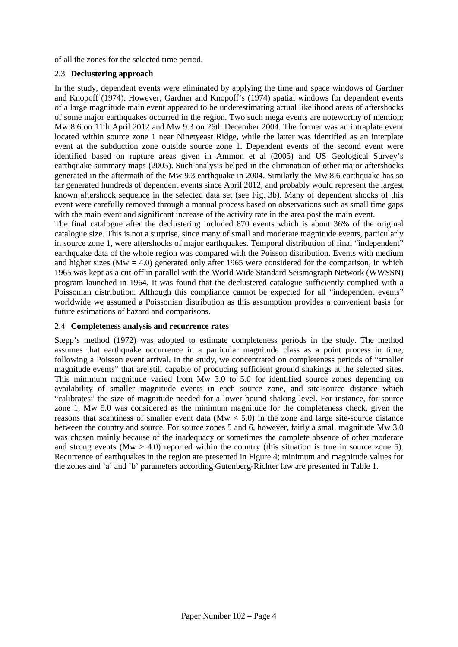of all the zones for the selected time period.

## 2.3 **Declustering approach**

In the study, dependent events were eliminated by applying the time and space windows of Gardner and Knopoff (1974). However, Gardner and Knopoff's (1974) spatial windows for dependent events of a large magnitude main event appeared to be underestimating actual likelihood areas of aftershocks of some major earthquakes occurred in the region. Two such mega events are noteworthy of mention; Mw 8.6 on 11th April 2012 and Mw 9.3 on 26th December 2004. The former was an intraplate event located within source zone 1 near Ninetyeast Ridge, while the latter was identified as an interplate event at the subduction zone outside source zone 1. Dependent events of the second event were identified based on rupture areas given in Ammon et al (2005) and US Geological Survey's earthquake summary maps (2005). Such analysis helped in the elimination of other major aftershocks generated in the aftermath of the Mw 9.3 earthquake in 2004. Similarly the Mw 8.6 earthquake has so far generated hundreds of dependent events since April 2012, and probably would represent the largest known aftershock sequence in the selected data set (see Fig. 3b). Many of dependent shocks of this event were carefully removed through a manual process based on observations such as small time gaps with the main event and significant increase of the activity rate in the area post the main event.

The final catalogue after the declustering included 870 events which is about 36% of the original catalogue size. This is not a surprise, since many of small and moderate magnitude events, particularly in source zone 1, were aftershocks of major earthquakes. Temporal distribution of final "independent" earthquake data of the whole region was compared with the Poisson distribution. Events with medium and higher sizes ( $Mw = 4.0$ ) generated only after 1965 were considered for the comparison, in which 1965 was kept as a cut-off in parallel with the World Wide Standard Seismograph Network (WWSSN) program launched in 1964. It was found that the declustered catalogue sufficiently complied with a Poissonian distribution. Although this compliance cannot be expected for all "independent events" worldwide we assumed a Poissonian distribution as this assumption provides a convenient basis for future estimations of hazard and comparisons.

## 2.4 **Completeness analysis and recurrence rates**

Stepp's method (1972) was adopted to estimate completeness periods in the study. The method assumes that earthquake occurrence in a particular magnitude class as a point process in time, following a Poisson event arrival. In the study, we concentrated on completeness periods of "smaller magnitude events" that are still capable of producing sufficient ground shakings at the selected sites. This minimum magnitude varied from Mw 3.0 to 5.0 for identified source zones depending on availability of smaller magnitude events in each source zone, and site-source distance which "calibrates" the size of magnitude needed for a lower bound shaking level. For instance, for source zone 1, Mw 5.0 was considered as the minimum magnitude for the completeness check, given the reasons that scantiness of smaller event data ( $Mw < 5.0$ ) in the zone and large site-source distance between the country and source. For source zones 5 and 6, however, fairly a small magnitude Mw 3.0 was chosen mainly because of the inadequacy or sometimes the complete absence of other moderate and strong events ( $Mw > 4.0$ ) reported within the country (this situation is true in source zone 5). Recurrence of earthquakes in the region are presented in Figure 4; minimum and magnitude values for the zones and `a' and `b' parameters according Gutenberg-Richter law are presented in Table 1.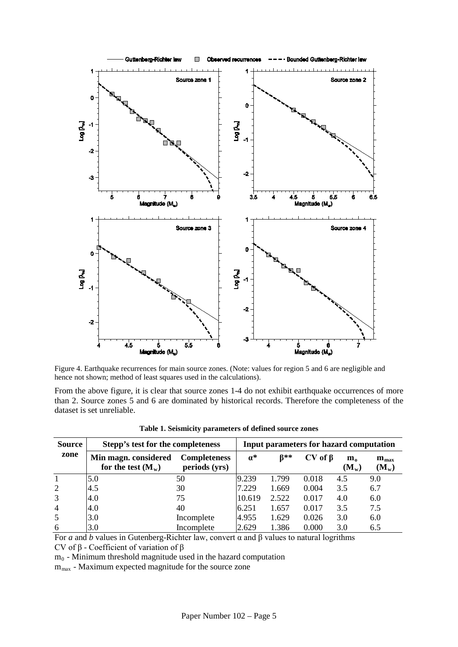

Figure 4. Earthquake recurrences for main source zones. (Note: values for region 5 and 6 are negligible and hence not shown; method of least squares used in the calculations).

From the above figure, it is clear that source zones 1-4 do not exhibit earthquake occurrences of more than 2. Source zones 5 and 6 are dominated by historical records. Therefore the completeness of the dataset is set unreliable.

| <b>Source</b>  | Stepp's test for the completeness            |                                      | Input parameters for hazard computation |             |                 |                                  |                                      |
|----------------|----------------------------------------------|--------------------------------------|-----------------------------------------|-------------|-----------------|----------------------------------|--------------------------------------|
| zone           | Min magn. considered<br>for the test $(M_w)$ | <b>Completeness</b><br>periods (yrs) | $a^*$                                   | <b>B</b> ** | $CV$ of $\beta$ | $\mathbf{m}_{\alpha}$<br>$(M_w)$ | $\mathbf{m}_{\text{max}}$<br>$(M_w)$ |
|                | 5.0                                          | 50                                   | 9.239                                   | 1.799       | 0.018           | 4.5                              | 9.0                                  |
| $\overline{2}$ | 4.5                                          | 30                                   | 7.229                                   | 1.669       | 0.004           | 3.5                              | 6.7                                  |
| 3              | 4.0                                          | 75                                   | 10.619                                  | 2.522       | 0.017           | 4.0                              | 6.0                                  |
| $\overline{4}$ | 4.0                                          | 40                                   | 6.251                                   | 1.657       | 0.017           | 3.5                              | 7.5                                  |
| 5              | 3.0                                          | Incomplete                           | 4.955                                   | 1.629       | 0.026           | 3.0                              | 6.0                                  |
| 6              | 3.0                                          | Incomplete                           | 2.629                                   | 1.386       | 0.000           | 3.0                              | 6.5                                  |

**Table 1. Seismicity parameters of defined source zones**

For *a* and *b* values in Gutenberg-Richter law, convert α and β values to natural logrithms CV of β - Coefficient of variation of β

 $m<sub>0</sub>$  - Minimum threshold magnitude used in the hazard computation

m<sub>max</sub> - Maximum expected magnitude for the source zone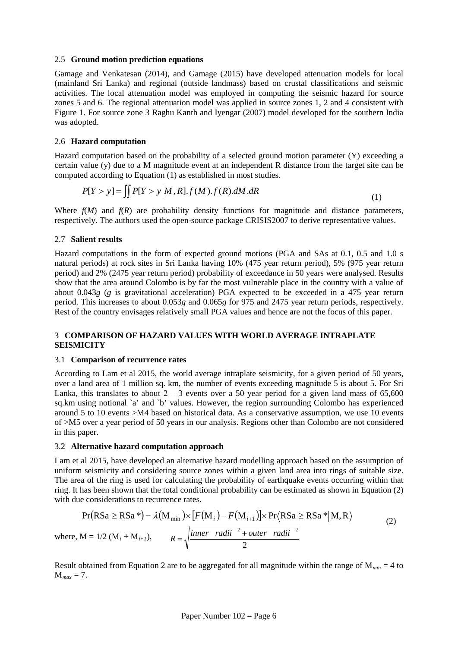#### 2.5 **Ground motion prediction equations**

Gamage and Venkatesan (2014), and Gamage (2015) have developed attenuation models for local (mainland Sri Lanka) and regional (outside landmass) based on crustal classifications and seismic activities. The local attenuation model was employed in computing the seismic hazard for source zones 5 and 6. The regional attenuation model was applied in source zones 1, 2 and 4 consistent with Figure 1. For source zone 3 Raghu Kanth and Iyengar (2007) model developed for the southern India was adopted.

### 2.6 **Hazard computation**

Hazard computation based on the probability of a selected ground motion parameter (Y) exceeding a certain value (y) due to a M magnitude event at an independent R distance from the target site can be computed according to Equation (1) as established in most studies.

$$
P[Y > y] = \iint P[Y > y | M, R]. f(M). f(R). dM.dR
$$
\n<sup>(1)</sup>

Where  $f(M)$  and  $f(R)$  are probability density functions for magnitude and distance parameters, respectively. The authors used the open-source package CRISIS2007 to derive representative values.

#### 2.7 **Salient results**

Hazard computations in the form of expected ground motions (PGA and SAs at 0.1, 0.5 and 1.0 s natural periods) at rock sites in Sri Lanka having 10% (475 year return period), 5% (975 year return period) and 2% (2475 year return period) probability of exceedance in 50 years were analysed. Results show that the area around Colombo is by far the most vulnerable place in the country with a value of about 0.043*g* (*g* is gravitational acceleration) PGA expected to be exceeded in a 475 year return period. This increases to about 0.053*g* and 0.065*g* for 975 and 2475 year return periods, respectively. Rest of the country envisages relatively small PGA values and hence are not the focus of this paper.

# 3 **COMPARISON OF HAZARD VALUES WITH WORLD AVERAGE INTRAPLATE SEISMICITY**

#### 3.1 **Comparison of recurrence rates**

According to Lam et al 2015, the world average intraplate seismicity, for a given period of 50 years, over a land area of 1 million sq. km, the number of events exceeding magnitude 5 is about 5. For Sri Lanka, this translates to about  $2 - 3$  events over a 50 year period for a given land mass of 65,600 sq.km using notional `a' and `b' values. However, the region surrounding Colombo has experienced around 5 to 10 events >M4 based on historical data. As a conservative assumption, we use 10 events of >M5 over a year period of 50 years in our analysis. Regions other than Colombo are not considered in this paper.

## 3.2 **Alternative hazard computation approach**

Lam et al 2015, have developed an alternative hazard modelling approach based on the assumption of uniform seismicity and considering source zones within a given land area into rings of suitable size. The area of the ring is used for calculating the probability of earthquake events occurring within that ring. It has been shown that the total conditional probability can be estimated as shown in Equation (2) with due considerations to recurrence rates.

$$
Pr(RSa \ge RSa*) = \lambda(M_{min}) \times [F(M_i) - F(M_{i+1})] \times Pr(RSa \ge RSa*|M, R)
$$
  
where, M = 1/2 (M<sub>i</sub> + M<sub>i+1</sub>),  $R = \sqrt{\frac{inner \ rad ii^{-2} + outer \ rad ii^{-2}}{2}}$  (2)

Result obtained from Equation 2 are to be aggregated for all magnitude within the range of M*min* = 4 to  $M_{max} = 7.$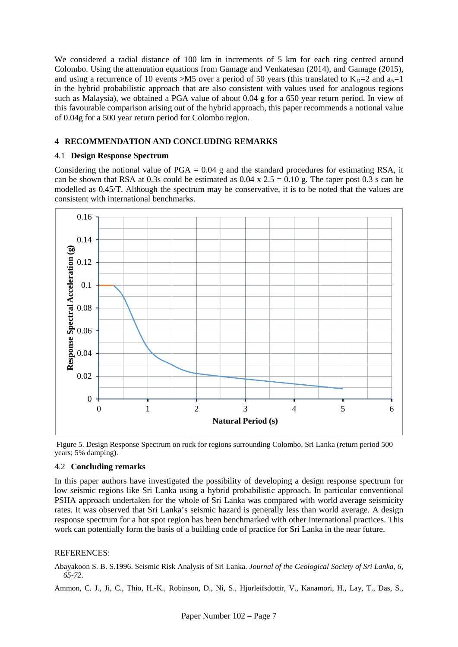We considered a radial distance of 100 km in increments of 5 km for each ring centred around Colombo. Using the attenuation equations from Gamage and Venkatesan (2014), and Gamage (2015), and using a recurrence of 10 events >M5 over a period of 50 years (this translated to  $K_D=2$  and  $a_5=1$ in the hybrid probabilistic approach that are also consistent with values used for analogous regions such as Malaysia), we obtained a PGA value of about 0.04 g for a 650 year return period. In view of this favourable comparison arising out of the hybrid approach, this paper recommends a notional value of 0.04g for a 500 year return period for Colombo region.

## 4 **RECOMMENDATION AND CONCLUDING REMARKS**

### 4.1 **Design Response Spectrum**

Considering the notional value of  $PGA = 0.04$  g and the standard procedures for estimating RSA, it can be shown that RSA at 0.3s could be estimated as  $0.04 \times 2.5 = 0.10 \text{ g}$ . The taper post 0.3 s can be modelled as 0.45/T. Although the spectrum may be conservative, it is to be noted that the values are consistent with international benchmarks.





#### 4.2 **Concluding remarks**

In this paper authors have investigated the possibility of developing a design response spectrum for low seismic regions like Sri Lanka using a hybrid probabilistic approach. In particular conventional PSHA approach undertaken for the whole of Sri Lanka was compared with world average seismicity rates. It was observed that Sri Lanka's seismic hazard is generally less than world average. A design response spectrum for a hot spot region has been benchmarked with other international practices. This work can potentially form the basis of a building code of practice for Sri Lanka in the near future.

## REFERENCES:

Abayakoon S. B. S.1996. Seismic Risk Analysis of Sri Lanka. *Journal of the Geological Society of Sri Lanka, 6, 65-72*.

Ammon, C. J., Ji, C., Thio, H.-K., Robinson, D., Ni, S., Hjorleifsdottir, V., Kanamori, H., Lay, T., Das, S.,